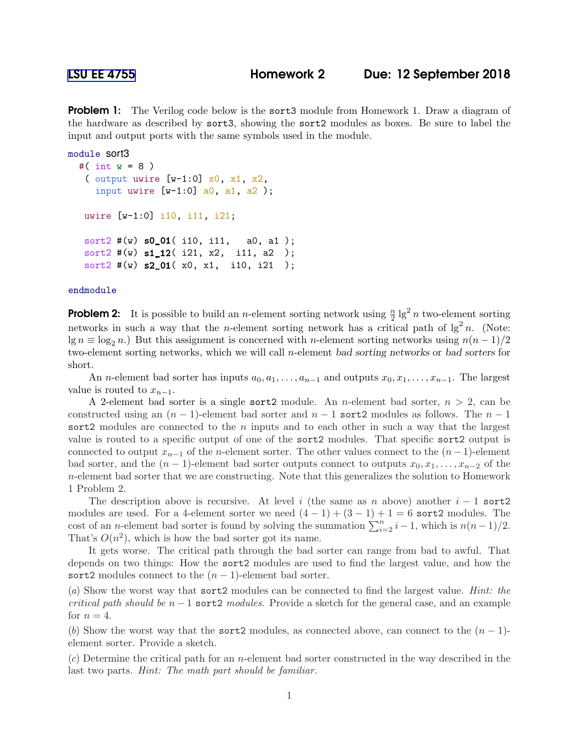**Problem 1:** The Verilog code below is the sort3 module from Homework 1. Draw a diagram of the hardware as described by sort3, showing the sort2 modules as boxes. Be sure to label the input and output ports with the same symbols used in the module.

```
module sort3
#( int w = 8 )
 ( output uwire [w-1:0] x0, x1, x2,
   input uwire [w-1:0] a0, a1, a2);
uwire [w-1:0] i10, i11, i21;
sort2 \#(w) s0_01( i10, i11, a0, a1);
sort2 \#(w) s1_12( i21, x2, i11, a2);
 sort2 #(w) s2_01( x0, x1, i10, i21 );
```
## endmodule

**Problem 2:** It is possible to build an *n*-element sorting network using  $\frac{n}{2} \lg^2 n$  two-element sorting networks in such a way that the *n*-element sorting network has a critical path of  $\lg^2 n$ . (Note:  $\lg n \equiv \log_2 n$ .) But this assignment is concerned with n-element sorting networks using  $n(n-1)/2$ two-element sorting networks, which we will call n-element bad sorting networks or bad sorters for short.

An *n*-element bad sorter has inputs  $a_0, a_1, \ldots, a_{n-1}$  and outputs  $x_0, x_1, \ldots, x_{n-1}$ . The largest value is routed to  $x_{n-1}$ .

A 2-element bad sorter is a single sort 2 module. An *n*-element bad sorter,  $n > 2$ , can be constructed using an  $(n-1)$ -element bad sorter and  $n-1$  sort2 modules as follows. The  $n-1$ sort2 modules are connected to the  $n$  inputs and to each other in such a way that the largest value is routed to a specific output of one of the sort2 modules. That specific sort2 output is connected to output  $x_{n-1}$  of the n-element sorter. The other values connect to the  $(n-1)$ -element bad sorter, and the  $(n-1)$ -element bad sorter outputs connect to outputs  $x_0, x_1, \ldots, x_{n-2}$  of the n-element bad sorter that we are constructing. Note that this generalizes the solution to Homework 1 Problem 2.

The description above is recursive. At level i (the same as n above) another  $i-1$  sort2 modules are used. For a 4-element sorter we need  $(4-1) + (3-1) + 1 = 6$  sort2 modules. The cost of an *n*-element bad sorter is found by solving the summation  $\sum_{i=2}^{n} i - 1$ , which is  $n(n-1)/2$ . That's  $O(n^2)$ , which is how the bad sorter got its name.

It gets worse. The critical path through the bad sorter can range from bad to awful. That depends on two things: How the sort2 modules are used to find the largest value, and how the sort2 modules connect to the  $(n-1)$ -element bad sorter.

(*a*) Show the worst way that sort2 modules can be connected to find the largest value. *Hint: the critical path should be*  $n-1$  sort2 *modules.* Provide a sketch for the general case, and an example for  $n = 4$ .

(*b*) Show the worst way that the sort2 modules, as connected above, can connect to the  $(n-1)$ element sorter. Provide a sketch.

(*c*) Determine the critical path for an n-element bad sorter constructed in the way described in the last two parts. *Hint: The math part should be familiar.*